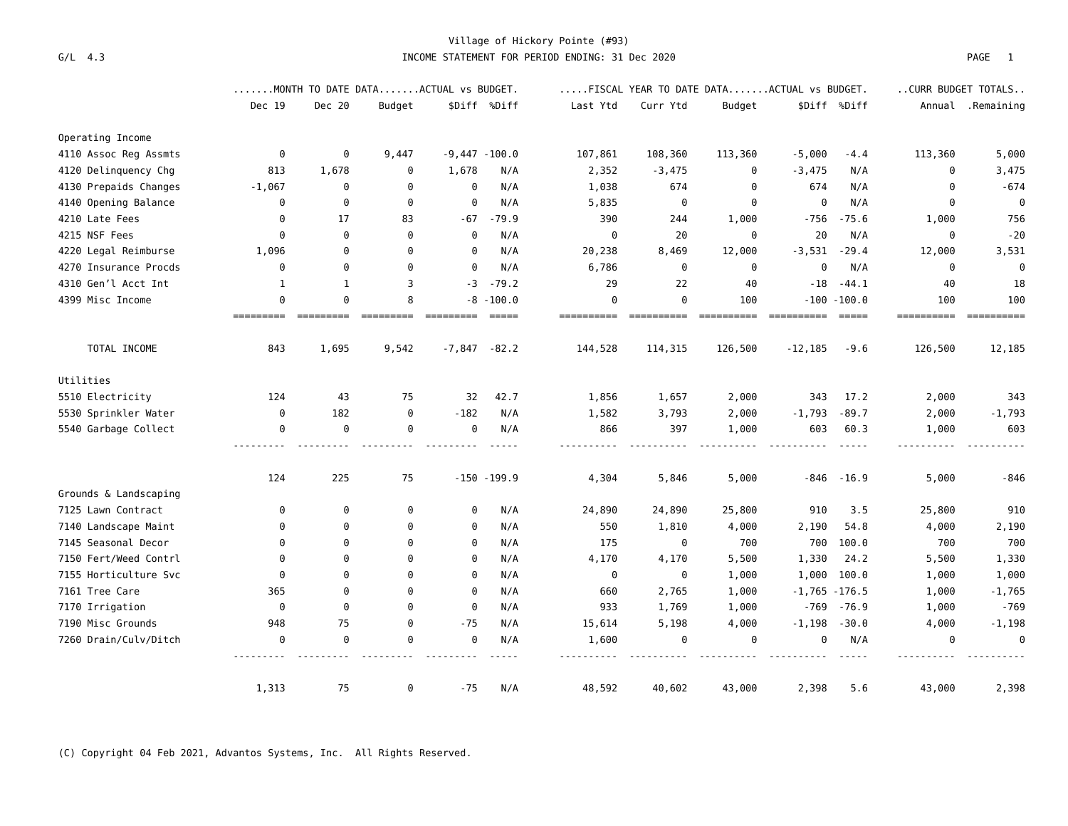## **Village of Hickory Pointe (#93) G/L 4.3 INCOME STATEMENT FOR PERIOD ENDING: 31 Dec 2020 PAGE 1**

|                       | MONTH TO DATE DATAACTUAL vs BUDGET. |                       |             |                  |                         | FISCAL YEAR TO DATE DATAACTUAL vs BUDGET. |                        |          |           |                                 | CURR BUDGET TOTALS |                       |
|-----------------------|-------------------------------------|-----------------------|-------------|------------------|-------------------------|-------------------------------------------|------------------------|----------|-----------|---------------------------------|--------------------|-----------------------|
|                       | Dec 19                              | Dec 20                | Budget      |                  | \$Diff %Diff            | Last Ytd                                  | Curr Ytd               | Budget   |           | \$Diff %Diff                    |                    | Annual .Remaining     |
| Operating Income      |                                     |                       |             |                  |                         |                                           |                        |          |           |                                 |                    |                       |
| 4110 Assoc Reg Assmts | $\boldsymbol{\Theta}$               | $\boldsymbol{\theta}$ | 9,447       | $-9,447 - 100.0$ |                         | 107,861                                   | 108,360                | 113,360  | $-5,000$  | $-4.4$                          | 113,360            | 5,000                 |
| 4120 Delinquency Chg  | 813                                 | 1,678                 | 0           | 1,678            | N/A                     | 2,352                                     | $-3,475$               | 0        | $-3,475$  | N/A                             | 0                  | 3,475                 |
| 4130 Prepaids Changes | $-1,067$                            | 0                     | 0           | 0                | N/A                     | 1,038                                     | 674                    | 0        | 674       | N/A                             | 0                  | $-674$                |
| 4140 Opening Balance  | 0                                   | $\Theta$              | $\theta$    | $\Theta$         | N/A                     | 5,835                                     | 0                      | $\Theta$ | $\Theta$  | N/A                             | 0                  | $\Theta$              |
| 4210 Late Fees        | 0                                   | 17                    | 83          | - 67             | $-79.9$                 | 390                                       | 244                    | 1,000    | $-756$    | $-75.6$                         | 1,000              | 756                   |
| 4215 NSF Fees         | $\Theta$                            | $\theta$              | $\Theta$    | $\Theta$         | N/A                     | $\Theta$                                  | 20                     | $\Theta$ | 20        | N/A                             | $\Theta$           | $-20$                 |
| 4220 Legal Reimburse  | 1,096                               | $\Theta$              | $\theta$    | 0                | N/A                     | 20,238                                    | 8,469                  | 12,000   | $-3,531$  | $-29.4$                         | 12,000             | 3,531                 |
| 4270 Insurance Procds | $\Theta$                            | $\Theta$              | $\Theta$    | $\Theta$         | N/A                     | 6,786                                     | $\Theta$               | $\Theta$ | 0         | N/A                             | 0                  | $\boldsymbol{\Theta}$ |
| 4310 Gen'l Acct Int   | $\mathbf{1}$                        | $\mathbf{1}$          | 3           | $-3$             | $-79.2$                 | 29                                        | 22                     | 40       | $-18$     | $-44.1$                         | 40                 | 18                    |
| 4399 Misc Income      | $\Omega$<br>=====                   | $\Theta$              | 8<br>====== | - 8<br>========= | $-100.0$<br>$= = = = =$ | $\Theta$<br>=====                         | $\Theta$<br>========== | 100      |           | $-100 - 100.0$<br>$= = = = = =$ | 100<br>==========  | 100<br>==========     |
| TOTAL INCOME          | 843                                 | 1,695                 | 9,542       | $-7,847 - 82.2$  |                         | 144,528                                   | 114,315                | 126,500  | $-12,185$ | $-9.6$                          | 126,500            | 12,185                |
| Utilities             |                                     |                       |             |                  |                         |                                           |                        |          |           |                                 |                    |                       |
| 5510 Electricity      | 124                                 | 43                    | 75          | 32               | 42.7                    | 1,856                                     | 1,657                  | 2,000    | 343       | 17.2                            | 2,000              | 343                   |
| 5530 Sprinkler Water  | 0                                   | 182                   | $\Theta$    | $-182$           | N/A                     | 1,582                                     | 3,793                  | 2,000    | $-1,793$  | $-89.7$                         | 2,000              | $-1,793$              |
| 5540 Garbage Collect  | $\Theta$                            | $\Theta$              | $\Theta$    | $\Theta$         | N/A                     | 866                                       | 397                    | 1,000    | 603       | 60.3                            | 1,000              | 603                   |
|                       | 124                                 | 225                   | 75          |                  | $-150 - 199.9$          | 4,304                                     | 5,846                  | 5,000    |           | $-846 - 16.9$                   | 5,000              | -846                  |
| Grounds & Landscaping |                                     |                       |             |                  |                         |                                           |                        |          |           |                                 |                    |                       |
| 7125 Lawn Contract    | $\Theta$                            | 0                     | $\Theta$    | 0                | N/A                     | 24,890                                    | 24,890                 | 25,800   | 910       | 3.5                             | 25,800             | 910                   |
| 7140 Landscape Maint  | $\Theta$                            | $\Omega$              | $\Theta$    | $\Theta$         | N/A                     | 550                                       | 1,810                  | 4,000    | 2,190     | 54.8                            | 4,000              | 2,190                 |
| 7145 Seasonal Decor   | $\Theta$                            | $\Omega$              | $\Omega$    | 0                | N/A                     | 175                                       | 0                      | 700      | 700       | 100.0                           | 700                | 700                   |
| 7150 Fert/Weed Contrl | $\Omega$                            | $\Omega$              | $\Theta$    | $\Theta$         | N/A                     | 4,170                                     | 4,170                  | 5,500    | 1,330     | 24.2                            | 5,500              | 1,330                 |
| 7155 Horticulture Svc | $\Theta$                            | $\Omega$              | $\Theta$    | 0                | N/A                     | 0                                         | 0                      | 1,000    | 1,000     | 100.0                           | 1,000              | 1,000                 |
| 7161 Tree Care        | 365                                 | $\Omega$              | $\Omega$    | $\Theta$         | N/A                     | 660                                       | 2,765                  | 1,000    |           | $-1,765 - 176.5$                | 1,000              | $-1,765$              |
| 7170 Irrigation       | 0                                   | $\Theta$              | $\Theta$    | 0                | N/A                     | 933                                       | 1,769                  | 1,000    | -769      | $-76.9$                         | 1,000              | $-769$                |
| 7190 Misc Grounds     | 948                                 | 75                    | $\theta$    | $-75$            | N/A                     | 15,614                                    | 5,198                  | 4,000    | $-1,198$  | $-30.0$                         | 4,000              | $-1,198$              |
| 7260 Drain/Culv/Ditch | 0                                   | $\Theta$              | $\Theta$    | 0                | N/A                     | 1,600                                     | 0                      | 0        | 0         | N/A                             | 0                  | $\Theta$              |
|                       | 1,313                               | 75                    | 0           | $-75$            | N/A                     | 48,592                                    | 40,602                 | 43,000   | 2,398     | 5.6                             | 43,000             | 2,398                 |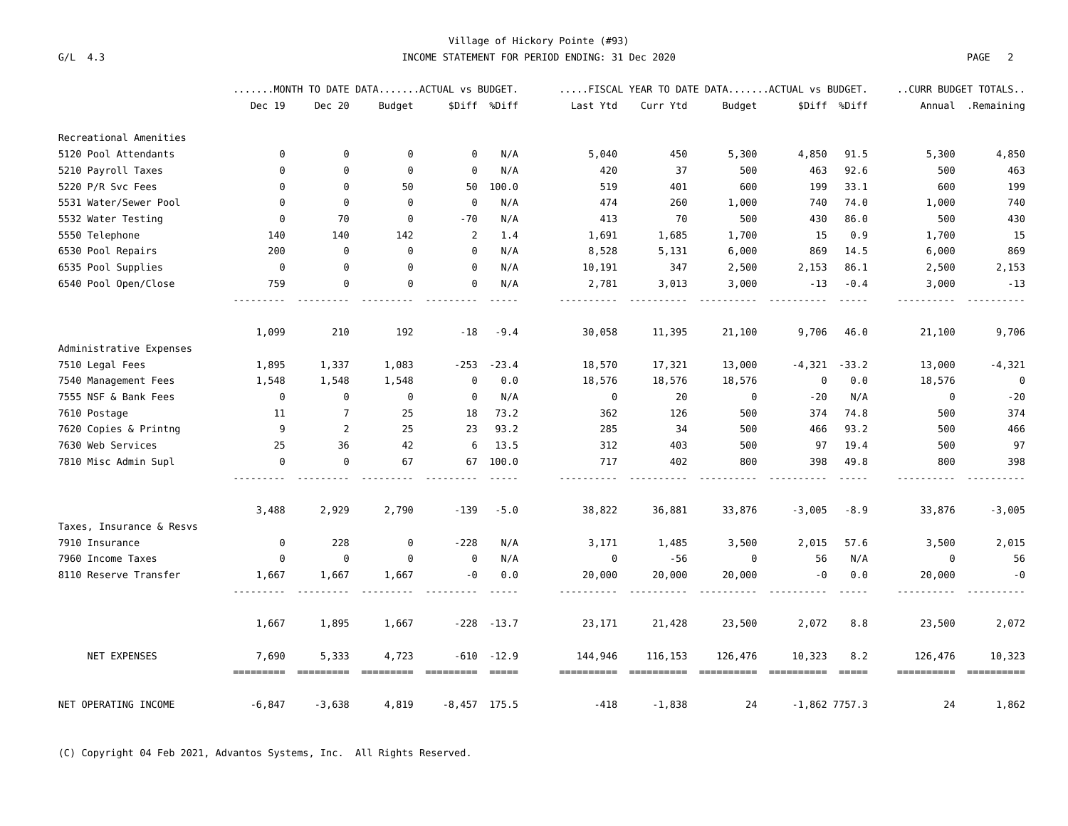## **Village of Hickory Pointe (#93) G/L 4.3 INCOME STATEMENT FOR PERIOD ENDING: 31 Dec 2020 PAGE 2**

|                          |                    | MONTH TO DATE DATAACTUAL vs BUDGET. |          |                       |                   |          | FISCAL YEAR TO DATE DATAACTUAL vs BUDGET. |         |          |                        |                       | CURR BUDGET TOTALS      |  |  |
|--------------------------|--------------------|-------------------------------------|----------|-----------------------|-------------------|----------|-------------------------------------------|---------|----------|------------------------|-----------------------|-------------------------|--|--|
|                          | Dec 19             | Dec 20                              | Budget   |                       | \$Diff %Diff      | Last Ytd | Curr Ytd                                  | Budget  |          | \$Diff %Diff           |                       | Annual .Remaining       |  |  |
| Recreational Amenities   |                    |                                     |          |                       |                   |          |                                           |         |          |                        |                       |                         |  |  |
| 5120 Pool Attendants     | 0                  | 0                                   | 0        | 0                     | N/A               | 5,040    | 450                                       | 5,300   | 4,850    | 91.5                   | 5,300                 | 4,850                   |  |  |
| 5210 Payroll Taxes       | $\Theta$           | 0                                   | $\Theta$ | $\Theta$              | N/A               | 420      | 37                                        | 500     | 463      | 92.6                   | 500                   | 463                     |  |  |
| 5220 P/R Svc Fees        | $\Theta$           | $\Omega$                            | 50       | 50                    | 100.0             | 519      | 401                                       | 600     | 199      | 33.1                   | 600                   | 199                     |  |  |
| 5531 Water/Sewer Pool    | 0                  | $\theta$                            | $\Theta$ | $\theta$              | N/A               | 474      | 260                                       | 1,000   | 740      | 74.0                   | 1,000                 | 740                     |  |  |
| 5532 Water Testing       | 0                  | 70                                  | 0        | -70                   | N/A               | 413      | 70                                        | 500     | 430      | 86.0                   | 500                   | 430                     |  |  |
| 5550 Telephone           | 140                | 140                                 | 142      | 2                     | 1.4               | 1,691    | 1,685                                     | 1,700   | 15       | 0.9                    | 1,700                 | 15                      |  |  |
| 6530 Pool Repairs        | 200                | 0                                   | 0        | 0                     | N/A               | 8,528    | 5,131                                     | 6,000   | 869      | 14.5                   | 6,000                 | 869                     |  |  |
| 6535 Pool Supplies       | 0                  | 0                                   | $\theta$ | $\Theta$              | N/A               | 10,191   | 347                                       | 2,500   | 2,153    | 86.1                   | 2,500                 | 2,153                   |  |  |
| 6540 Pool Open/Close     | 759                | 0                                   | $\Theta$ | $\boldsymbol{\Theta}$ | N/A               | 2,781    | 3,013                                     | 3,000   | $-13$    | $-0.4$                 | 3,000<br>.            | $-13$                   |  |  |
|                          | 1,099              | 210                                 | 192      | $-18$                 | $-9.4$            | 30,058   | 11,395                                    | 21,100  | 9,706    | 46.0                   | 21,100                | 9,706                   |  |  |
| Administrative Expenses  |                    |                                     |          |                       |                   |          |                                           |         |          |                        |                       |                         |  |  |
| 7510 Legal Fees          | 1,895              | 1,337                               | 1,083    | $-253$                | $-23.4$           | 18,570   | 17,321                                    | 13,000  |          | $-4,321 -33.2$         | 13,000                | $-4,321$                |  |  |
| 7540 Management Fees     | 1,548              | 1,548                               | 1,548    | 0                     | 0.0               | 18,576   | 18,576                                    | 18,576  | 0        | 0.0                    | 18,576                | 0                       |  |  |
| 7555 NSF & Bank Fees     | 0                  | $\boldsymbol{\theta}$               | 0        | 0                     | N/A               | $\Theta$ | 20                                        | 0       | - 20     | N/A                    | 0                     | $-20$                   |  |  |
| 7610 Postage             | 11                 | 7                                   | 25       | 18                    | 73.2              | 362      | 126                                       | 500     | 374      | 74.8                   | 500                   | 374                     |  |  |
| 7620 Copies & Printng    | 9                  | 2                                   | 25       | 23                    | 93.2              | 285      | 34                                        | 500     | 466      | 93.2                   | 500                   | 466                     |  |  |
| 7630 Web Services        | 25                 | 36                                  | 42       | 6                     | 13.5              | 312      | 403                                       | 500     | 97       | 19.4                   | 500                   | 97                      |  |  |
| 7810 Misc Admin Supl     | $\Theta$           | $\Theta$                            | 67       | 67                    | 100.0             | 717      | 402                                       | 800     | 398      | 49.8                   | 800                   | 398                     |  |  |
|                          | 3,488              | 2,929                               | 2,790    | $-139$                | $-5.0$            | 38,822   | 36,881                                    | 33,876  | $-3,005$ | $-8.9$                 | 33,876                | $-3,005$                |  |  |
| Taxes, Insurance & Resvs |                    |                                     |          |                       |                   |          |                                           |         |          |                        |                       |                         |  |  |
| 7910 Insurance           | 0                  | 228                                 | 0        | $-228$                | N/A               | 3,171    | 1,485                                     | 3,500   | 2,015    | 57.6                   | 3,500                 | 2,015                   |  |  |
| 7960 Income Taxes        | 0                  | $\Theta$                            | $\Theta$ | $\Theta$              | N/A               | $\Theta$ | $-56$                                     | 0       | 56       | N/A                    | 0                     | 56                      |  |  |
| 8110 Reserve Transfer    | 1,667              | 1,667                               | 1,667    | $-0$                  | 0.0               | 20,000   | 20,000                                    | 20,000  | -0       | 0.0                    | 20,000                | - 0                     |  |  |
|                          | 1,667              | 1,895                               | 1,667    |                       | $-228 - 13.7$     | 23,171   | 21,428                                    | 23,500  | 2,072    | 8.8                    | 23,500                | 2,072                   |  |  |
| NET EXPENSES             | 7,690<br>--------- | 5,333                               | 4,723    | -610<br>$=$ ========  | $-12.9$<br>$====$ | 144,946  | 116,153<br>==========                     | 126,476 | 10,323   | 8.2<br>$=$ $=$ $=$ $=$ | 126,476<br>========== | 10,323<br>$-2222222222$ |  |  |
| NET OPERATING INCOME     | $-6,847$           | $-3,638$                            | 4,819    | $-8,457$ 175.5        |                   | $-418$   | $-1,838$                                  | 24      |          | $-1,862$ 7757.3        | 24                    | 1,862                   |  |  |

**(C) Copyright 04 Feb 2021, Advantos Systems, Inc. All Rights Reserved.**